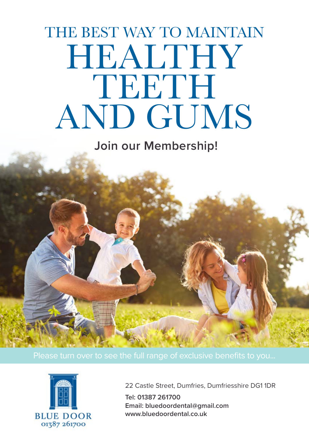# HEALTHY TEETH AND GUMS THE BEST WAY TO MAINTAIN

 **Join our Membership!**



22 Castle Street, Dumfries, Dumfriesshire DG1 1DR

**Tel: 01387 261700 Email: bluedoordental@gmail.com www.bluedoordental.co.uk**